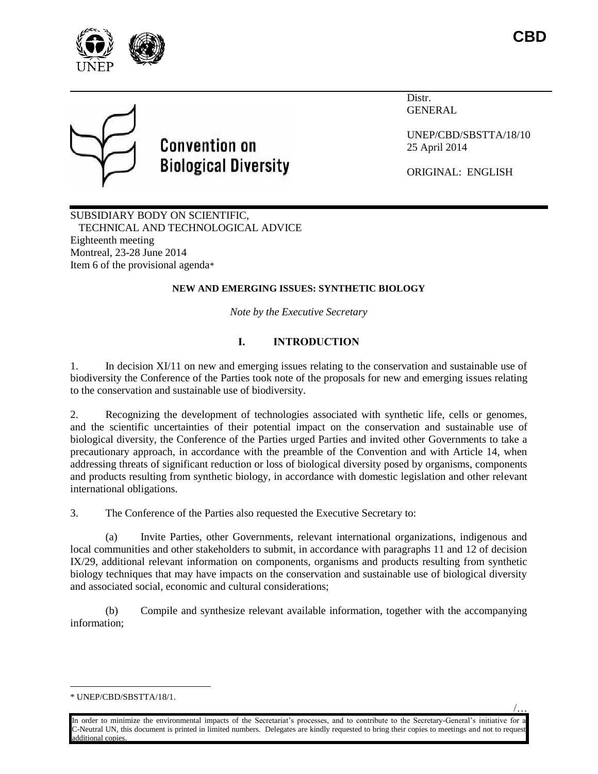

/…



# **Convention on Biological Diversity**

Distr. GENERAL

UNEP/CBD/SBSTTA/18/10 25 April 2014

ORIGINAL: ENGLISH

SUBSIDIARY BODY ON SCIENTIFIC, TECHNICAL AND TECHNOLOGICAL ADVICE Eighteenth meeting Montreal, 23-28 June 2014 Item 6 of the provisional agenda\*

# **NEW AND EMERGING ISSUES: SYNTHETIC BIOLOGY**

*Note by the Executive Secretary*

# **I. INTRODUCTION**

1. In decision XI/11 on new and emerging issues relating to the conservation and sustainable use of biodiversity the Conference of the Parties took note of the proposals for new and emerging issues relating to the conservation and sustainable use of biodiversity.

2. Recognizing the development of technologies associated with synthetic life, cells or genomes, and the scientific uncertainties of their potential impact on the conservation and sustainable use of biological diversity, the Conference of the Parties urged Parties and invited other Governments to take a precautionary approach, in accordance with the preamble of the Convention and with Article 14, when addressing threats of significant reduction or loss of biological diversity posed by organisms, components and products resulting from synthetic biology, in accordance with domestic legislation and other relevant international obligations.

3. The Conference of the Parties also requested the Executive Secretary to:

(a) Invite Parties, other Governments, relevant international organizations, indigenous and local communities and other stakeholders to submit, in accordance with paragraphs 11 and 12 of decision IX/29, additional relevant information on components, organisms and products resulting from synthetic biology techniques that may have impacts on the conservation and sustainable use of biological diversity and associated social, economic and cultural considerations;

(b) Compile and synthesize relevant available information, together with the accompanying information;

 $\overline{a}$ 

In order to minimize the environmental impacts of the Secretariat's processes, and to contribute to the Secretary-General's initiative for a C-Neutral UN, this document is printed in limited numbers. Delegates are kindly requested to bring their copies to meetings and not to request additional copies.

<sup>\*</sup> UNEP/CBD/SBSTTA/18/1.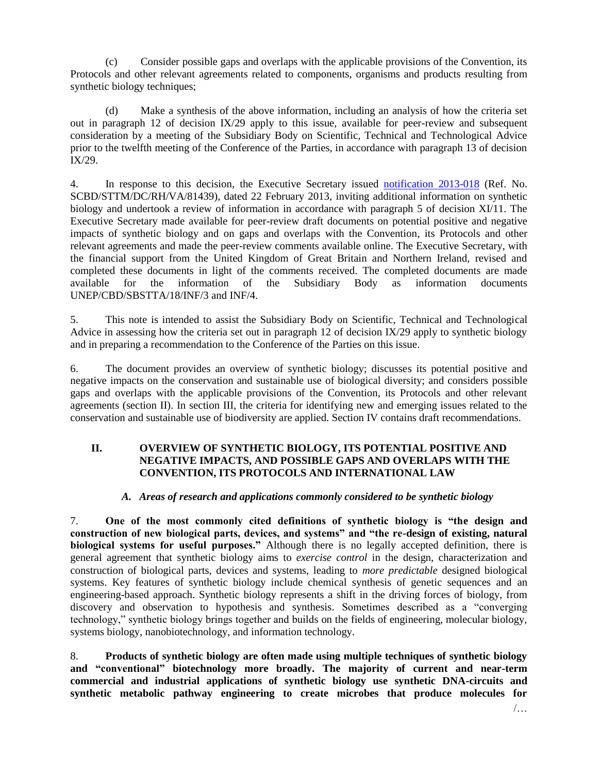(c) Consider possible gaps and overlaps with the applicable provisions of the Convention, its Protocols and other relevant agreements related to components, organisms and products resulting from synthetic biology techniques;

(d) Make a synthesis of the above information, including an analysis of how the criteria set out in paragraph 12 of decision  $IX/29$  apply to this issue, available for peer-review and subsequent consideration by a meeting of the Subsidiary Body on Scientific, Technical and Technological Advice prior to the twelfth meeting of the Conference of the Parties, in accordance with paragraph 13 of decision IX/29.

4. In response to this decision, the Executive Secretary issued [notification 2013-018](http://www.cbd.int/doc/notifications/2013/ntf-2013-018-emerging-issues-en.pdf) (Ref. No. SCBD/STTM/DC/RH/VA/81439), dated 22 February 2013, inviting additional information on synthetic biology and undertook a review of information in accordance with paragraph 5 of decision XI/11. The Executive Secretary made available for peer-review draft documents on potential positive and negative impacts of synthetic biology and on gaps and overlaps with the Convention, its Protocols and other relevant agreements and made the peer-review comments available online. The Executive Secretary, with the financial support from the United Kingdom of Great Britain and Northern Ireland, revised and completed these documents in light of the comments received. The completed documents are made available for the information of the Subsidiary Body as information documents UNEP/CBD/SBSTTA/18/INF/3 and INF/4.

5. This note is intended to assist the Subsidiary Body on Scientific, Technical and Technological Advice in assessing how the criteria set out in paragraph 12 of decision IX/29 apply to synthetic biology and in preparing a recommendation to the Conference of the Parties on this issue.

6. The document provides an overview of synthetic biology; discusses its potential positive and negative impacts on the conservation and sustainable use of biological diversity; and considers possible gaps and overlaps with the applicable provisions of the Convention, its Protocols and other relevant agreements (section II). In section III, the criteria for identifying new and emerging issues related to the conservation and sustainable use of biodiversity are applied. Section IV contains draft recommendations.

# **II. OVERVIEW OF SYNTHETIC BIOLOGY, ITS POTENTIAL POSITIVE AND NEGATIVE IMPACTS, AND POSSIBLE GAPS AND OVERLAPS WITH THE CONVENTION, ITS PROTOCOLS AND INTERNATIONAL LAW**

# *A. Areas of research and applications commonly considered to be synthetic biology*

7. **One of the most commonly cited definitions of synthetic biology is "the design and construction of new biological parts, devices, and systems" and "the re-design of existing, natural biological systems for useful purposes."** Although there is no legally accepted definition, there is general agreement that synthetic biology aims to *exercise control* in the design, characterization and construction of biological parts, devices and systems, leading to *more predictable* designed biological systems. Key features of synthetic biology include chemical synthesis of genetic sequences and an engineering-based approach. Synthetic biology represents a shift in the driving forces of biology, from discovery and observation to hypothesis and synthesis. Sometimes described as a "converging technology," synthetic biology brings together and builds on the fields of engineering, molecular biology, systems biology, nanobiotechnology, and information technology.

8. **Products of synthetic biology are often made using multiple techniques of synthetic biology and "conventional" biotechnology more broadly. The majority of current and near-term commercial and industrial applications of synthetic biology use synthetic DNA-circuits and synthetic metabolic pathway engineering to create microbes that produce molecules for**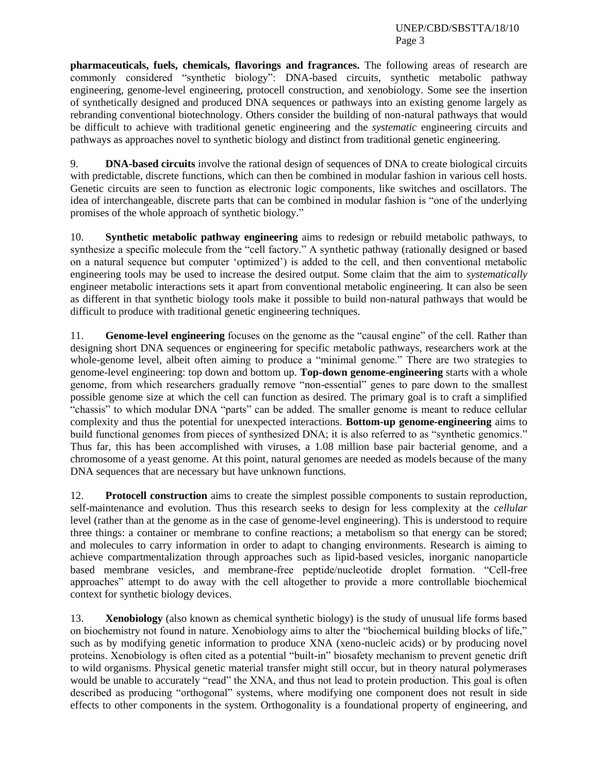**pharmaceuticals, fuels, chemicals, flavorings and fragrances.** The following areas of research are commonly considered "synthetic biology": DNA-based circuits, synthetic metabolic pathway engineering, genome-level engineering, protocell construction, and xenobiology. Some see the insertion of synthetically designed and produced DNA sequences or pathways into an existing genome largely as rebranding conventional biotechnology. Others consider the building of non-natural pathways that would be difficult to achieve with traditional genetic engineering and the *systematic* engineering circuits and pathways as approaches novel to synthetic biology and distinct from traditional genetic engineering.

9. **DNA-based circuits** involve the rational design of sequences of DNA to create biological circuits with predictable, discrete functions, which can then be combined in modular fashion in various cell hosts. Genetic circuits are seen to function as electronic logic components, like switches and oscillators. The idea of interchangeable, discrete parts that can be combined in modular fashion is "one of the underlying promises of the whole approach of synthetic biology."

10. **Synthetic metabolic pathway engineering** aims to redesign or rebuild metabolic pathways, to synthesize a specific molecule from the "cell factory." A synthetic pathway (rationally designed or based on a natural sequence but computer 'optimized') is added to the cell, and then conventional metabolic engineering tools may be used to increase the desired output. Some claim that the aim to *systematically* engineer metabolic interactions sets it apart from conventional metabolic engineering. It can also be seen as different in that synthetic biology tools make it possible to build non-natural pathways that would be difficult to produce with traditional genetic engineering techniques.

11. **Genome-level engineering** focuses on the genome as the "causal engine" of the cell. Rather than designing short DNA sequences or engineering for specific metabolic pathways, researchers work at the whole-genome level, albeit often aiming to produce a "minimal genome." There are two strategies to genome-level engineering: top down and bottom up. **Top-down genome-engineering** starts with a whole genome, from which researchers gradually remove "non-essential" genes to pare down to the smallest possible genome size at which the cell can function as desired. The primary goal is to craft a simplified "chassis" to which modular DNA "parts" can be added. The smaller genome is meant to reduce cellular complexity and thus the potential for unexpected interactions. **Bottom-up genome-engineering** aims to build functional genomes from pieces of synthesized DNA; it is also referred to as "synthetic genomics." Thus far, this has been accomplished with viruses, a 1.08 million base pair bacterial genome, and a chromosome of a yeast genome. At this point, natural genomes are needed as models because of the many DNA sequences that are necessary but have unknown functions.

12. **Protocell construction** aims to create the simplest possible components to sustain reproduction, self-maintenance and evolution. Thus this research seeks to design for less complexity at the *cellular* level (rather than at the genome as in the case of genome-level engineering). This is understood to require three things: a container or membrane to confine reactions; a metabolism so that energy can be stored; and molecules to carry information in order to adapt to changing environments. Research is aiming to achieve compartmentalization through approaches such as lipid-based vesicles, inorganic nanoparticle based membrane vesicles, and membrane-free peptide/nucleotide droplet formation. "Cell-free approaches" attempt to do away with the cell altogether to provide a more controllable biochemical context for synthetic biology devices.

13. **Xenobiology** (also known as chemical synthetic biology) is the study of unusual life forms based on biochemistry not found in nature. Xenobiology aims to alter the "biochemical building blocks of life," such as by modifying genetic information to produce XNA (xeno-nucleic acids) or by producing novel proteins. Xenobiology is often cited as a potential "built-in" biosafety mechanism to prevent genetic drift to wild organisms. Physical genetic material transfer might still occur, but in theory natural polymerases would be unable to accurately "read" the XNA, and thus not lead to protein production. This goal is often described as producing "orthogonal" systems, where modifying one component does not result in side effects to other components in the system. Orthogonality is a foundational property of engineering, and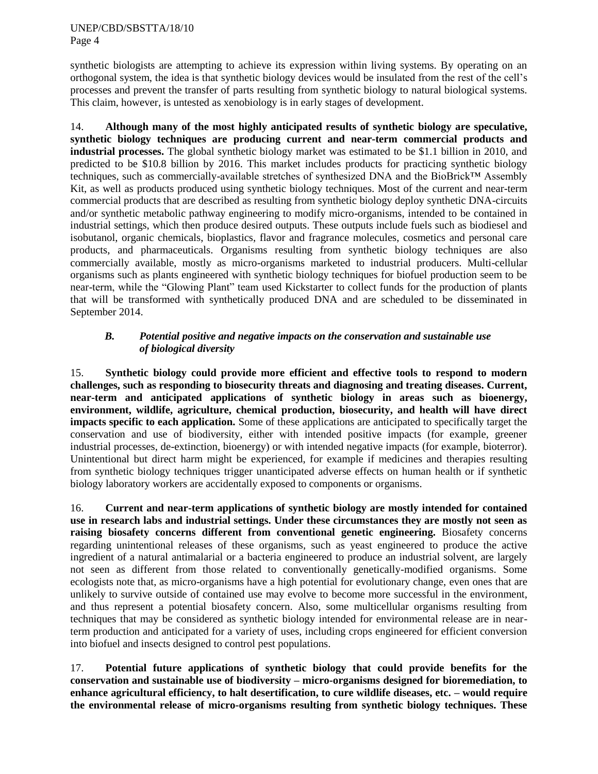synthetic biologists are attempting to achieve its expression within living systems. By operating on an orthogonal system, the idea is that synthetic biology devices would be insulated from the rest of the cell's processes and prevent the transfer of parts resulting from synthetic biology to natural biological systems. This claim, however, is untested as xenobiology is in early stages of development.

14. **Although many of the most highly anticipated results of synthetic biology are speculative, synthetic biology techniques are producing current and near-term commercial products and industrial processes.** The global synthetic biology market was estimated to be \$1.1 billion in 2010, and predicted to be \$10.8 billion by 2016. This market includes products for practicing synthetic biology techniques, such as commercially-available stretches of synthesized DNA and the BioBrick™ Assembly Kit, as well as products produced using synthetic biology techniques. Most of the current and near-term commercial products that are described as resulting from synthetic biology deploy synthetic DNA-circuits and/or synthetic metabolic pathway engineering to modify micro-organisms, intended to be contained in industrial settings, which then produce desired outputs. These outputs include fuels such as biodiesel and isobutanol, organic chemicals, bioplastics, flavor and fragrance molecules, cosmetics and personal care products, and pharmaceuticals. Organisms resulting from synthetic biology techniques are also commercially available, mostly as micro-organisms marketed to industrial producers. Multi-cellular organisms such as plants engineered with synthetic biology techniques for biofuel production seem to be near-term, while the "Glowing Plant" team used Kickstarter to collect funds for the production of plants that will be transformed with synthetically produced DNA and are scheduled to be disseminated in September 2014.

# *B. Potential positive and negative impacts on the conservation and sustainable use of biological diversity*

15. **Synthetic biology could provide more efficient and effective tools to respond to modern challenges, such as responding to biosecurity threats and diagnosing and treating diseases. Current, near-term and anticipated applications of synthetic biology in areas such as bioenergy, environment, wildlife, agriculture, chemical production, biosecurity, and health will have direct impacts specific to each application.** Some of these applications are anticipated to specifically target the conservation and use of biodiversity, either with intended positive impacts (for example, greener industrial processes, de-extinction, bioenergy) or with intended negative impacts (for example, bioterror). Unintentional but direct harm might be experienced, for example if medicines and therapies resulting from synthetic biology techniques trigger unanticipated adverse effects on human health or if synthetic biology laboratory workers are accidentally exposed to components or organisms.

16. **Current and near-term applications of synthetic biology are mostly intended for contained use in research labs and industrial settings. Under these circumstances they are mostly not seen as raising biosafety concerns different from conventional genetic engineering.** Biosafety concerns regarding unintentional releases of these organisms, such as yeast engineered to produce the active ingredient of a natural antimalarial or a bacteria engineered to produce an industrial solvent, are largely not seen as different from those related to conventionally genetically-modified organisms. Some ecologists note that, as micro-organisms have a high potential for evolutionary change, even ones that are unlikely to survive outside of contained use may evolve to become more successful in the environment, and thus represent a potential biosafety concern. Also, some multicellular organisms resulting from techniques that may be considered as synthetic biology intended for environmental release are in nearterm production and anticipated for a variety of uses, including crops engineered for efficient conversion into biofuel and insects designed to control pest populations.

17. **Potential future applications of synthetic biology that could provide benefits for the conservation and sustainable use of biodiversity – micro-organisms designed for bioremediation, to enhance agricultural efficiency, to halt desertification, to cure wildlife diseases, etc. – would require the environmental release of micro-organisms resulting from synthetic biology techniques. These**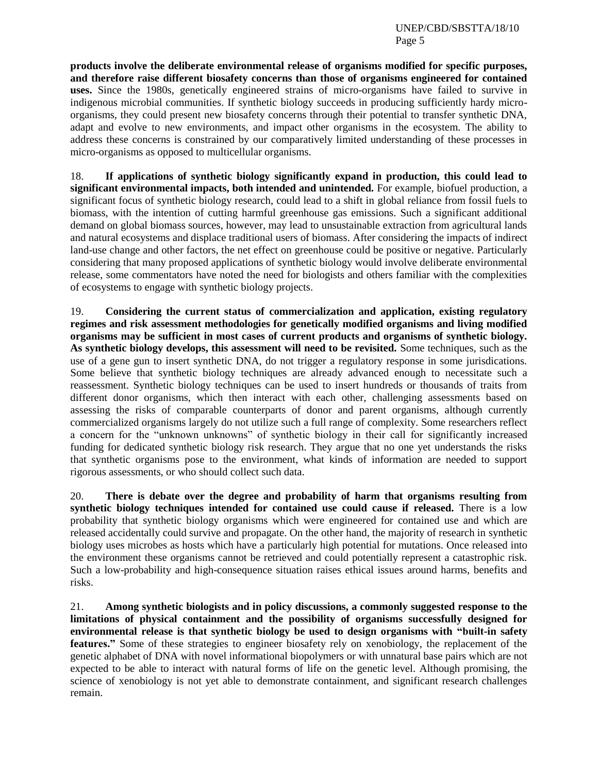**products involve the deliberate environmental release of organisms modified for specific purposes, and therefore raise different biosafety concerns than those of organisms engineered for contained uses.** Since the 1980s, genetically engineered strains of micro-organisms have failed to survive in indigenous microbial communities. If synthetic biology succeeds in producing sufficiently hardy microorganisms, they could present new biosafety concerns through their potential to transfer synthetic DNA, adapt and evolve to new environments, and impact other organisms in the ecosystem. The ability to address these concerns is constrained by our comparatively limited understanding of these processes in micro-organisms as opposed to multicellular organisms.

18. **If applications of synthetic biology significantly expand in production, this could lead to significant environmental impacts, both intended and unintended.** For example, biofuel production, a significant focus of synthetic biology research, could lead to a shift in global reliance from fossil fuels to biomass, with the intention of cutting harmful greenhouse gas emissions. Such a significant additional demand on global biomass sources, however, may lead to unsustainable extraction from agricultural lands and natural ecosystems and displace traditional users of biomass. After considering the impacts of indirect land-use change and other factors, the net effect on greenhouse could be positive or negative. Particularly considering that many proposed applications of synthetic biology would involve deliberate environmental release, some commentators have noted the need for biologists and others familiar with the complexities of ecosystems to engage with synthetic biology projects.

19. **Considering the current status of commercialization and application, existing regulatory regimes and risk assessment methodologies for genetically modified organisms and living modified organisms may be sufficient in most cases of current products and organisms of synthetic biology. As synthetic biology develops, this assessment will need to be revisited.** Some techniques, such as the use of a gene gun to insert synthetic DNA, do not trigger a regulatory response in some jurisdications. Some believe that synthetic biology techniques are already advanced enough to necessitate such a reassessment. Synthetic biology techniques can be used to insert hundreds or thousands of traits from different donor organisms, which then interact with each other, challenging assessments based on assessing the risks of comparable counterparts of donor and parent organisms, although currently commercialized organisms largely do not utilize such a full range of complexity. Some researchers reflect a concern for the "unknown unknowns" of synthetic biology in their call for significantly increased funding for dedicated synthetic biology risk research. They argue that no one yet understands the risks that synthetic organisms pose to the environment, what kinds of information are needed to support rigorous assessments, or who should collect such data.

20. **There is debate over the degree and probability of harm that organisms resulting from synthetic biology techniques intended for contained use could cause if released.** There is a low probability that synthetic biology organisms which were engineered for contained use and which are released accidentally could survive and propagate. On the other hand, the majority of research in synthetic biology uses microbes as hosts which have a particularly high potential for mutations. Once released into the environment these organisms cannot be retrieved and could potentially represent a catastrophic risk. Such a low-probability and high-consequence situation raises ethical issues around harms, benefits and risks.

21. **Among synthetic biologists and in policy discussions, a commonly suggested response to the limitations of physical containment and the possibility of organisms successfully designed for environmental release is that synthetic biology be used to design organisms with "built-in safety features."** Some of these strategies to engineer biosafety rely on xenobiology, the replacement of the genetic alphabet of DNA with novel informational biopolymers or with unnatural base pairs which are not expected to be able to interact with natural forms of life on the genetic level. Although promising, the science of xenobiology is not yet able to demonstrate containment, and significant research challenges remain.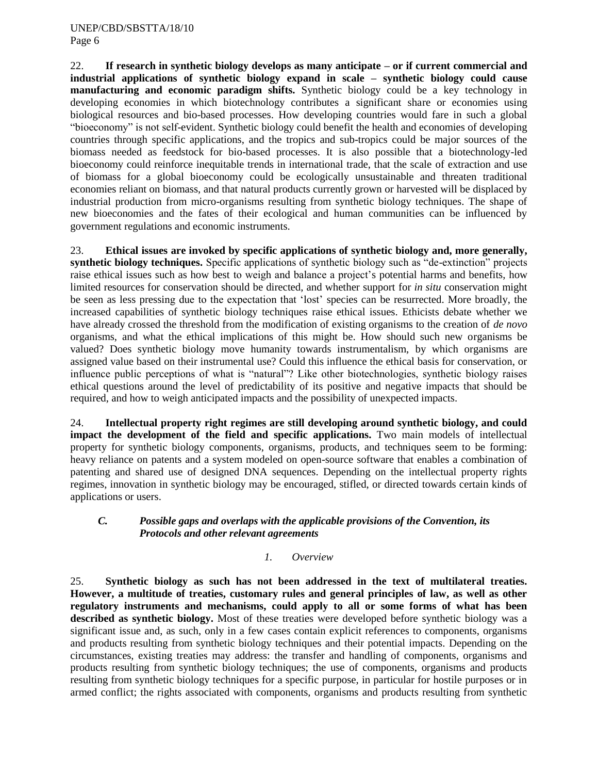22. **If research in synthetic biology develops as many anticipate – or if current commercial and industrial applications of synthetic biology expand in scale – synthetic biology could cause manufacturing and economic paradigm shifts.** Synthetic biology could be a key technology in developing economies in which biotechnology contributes a significant share or economies using biological resources and bio-based processes. How developing countries would fare in such a global "bioeconomy" is not self-evident. Synthetic biology could benefit the health and economies of developing countries through specific applications, and the tropics and sub-tropics could be major sources of the biomass needed as feedstock for bio-based processes. It is also possible that a biotechnology-led bioeconomy could reinforce inequitable trends in international trade, that the scale of extraction and use of biomass for a global bioeconomy could be ecologically unsustainable and threaten traditional economies reliant on biomass, and that natural products currently grown or harvested will be displaced by industrial production from micro-organisms resulting from synthetic biology techniques. The shape of new bioeconomies and the fates of their ecological and human communities can be influenced by government regulations and economic instruments.

23. **Ethical issues are invoked by specific applications of synthetic biology and, more generally, synthetic biology techniques.** Specific applications of synthetic biology such as "de-extinction" projects raise ethical issues such as how best to weigh and balance a project's potential harms and benefits, how limited resources for conservation should be directed, and whether support for *in situ* conservation might be seen as less pressing due to the expectation that 'lost' species can be resurrected. More broadly, the increased capabilities of synthetic biology techniques raise ethical issues. Ethicists debate whether we have already crossed the threshold from the modification of existing organisms to the creation of *de novo*  organisms, and what the ethical implications of this might be. How should such new organisms be valued? Does synthetic biology move humanity towards instrumentalism, by which organisms are assigned value based on their instrumental use? Could this influence the ethical basis for conservation, or influence public perceptions of what is "natural"? Like other biotechnologies, synthetic biology raises ethical questions around the level of predictability of its positive and negative impacts that should be required, and how to weigh anticipated impacts and the possibility of unexpected impacts.

24. **Intellectual property right regimes are still developing around synthetic biology, and could impact the development of the field and specific applications.** Two main models of intellectual property for synthetic biology components, organisms, products, and techniques seem to be forming: heavy reliance on patents and a system modeled on open-source software that enables a combination of patenting and shared use of designed DNA sequences. Depending on the intellectual property rights regimes, innovation in synthetic biology may be encouraged, stifled, or directed towards certain kinds of applications or users.

# *C. Possible gaps and overlaps with the applicable provisions of the Convention, its Protocols and other relevant agreements*

# *1. Overview*

25. **Synthetic biology as such has not been addressed in the text of multilateral treaties. However, a multitude of treaties, customary rules and general principles of law, as well as other regulatory instruments and mechanisms, could apply to all or some forms of what has been described as synthetic biology.** Most of these treaties were developed before synthetic biology was a significant issue and, as such, only in a few cases contain explicit references to components, organisms and products resulting from synthetic biology techniques and their potential impacts. Depending on the circumstances, existing treaties may address: the transfer and handling of components, organisms and products resulting from synthetic biology techniques; the use of components, organisms and products resulting from synthetic biology techniques for a specific purpose, in particular for hostile purposes or in armed conflict; the rights associated with components, organisms and products resulting from synthetic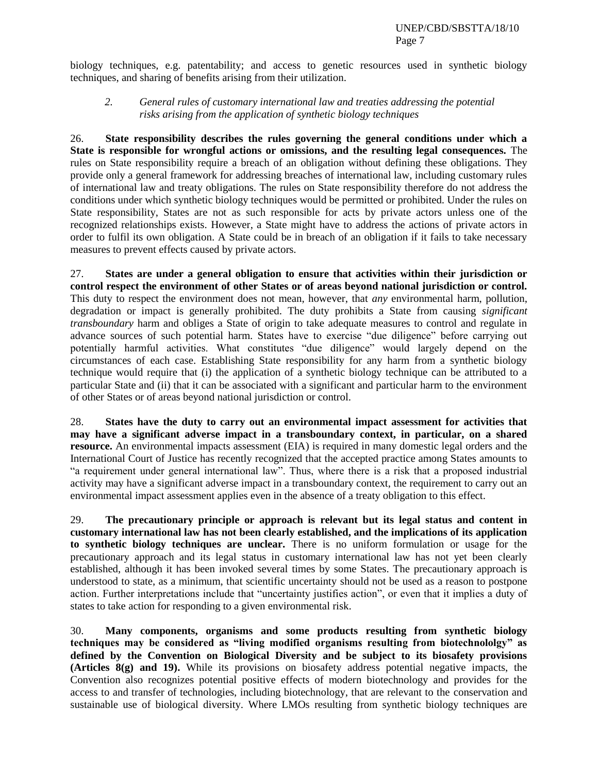biology techniques, e.g. patentability; and access to genetic resources used in synthetic biology techniques, and sharing of benefits arising from their utilization.

#### *2. General rules of customary international law and treaties addressing the potential risks arising from the application of synthetic biology techniques*

26. **State responsibility describes the rules governing the general conditions under which a State is responsible for wrongful actions or omissions, and the resulting legal consequences.** The rules on State responsibility require a breach of an obligation without defining these obligations. They provide only a general framework for addressing breaches of international law, including customary rules of international law and treaty obligations. The rules on State responsibility therefore do not address the conditions under which synthetic biology techniques would be permitted or prohibited. Under the rules on State responsibility, States are not as such responsible for acts by private actors unless one of the recognized relationships exists. However, a State might have to address the actions of private actors in order to fulfil its own obligation. A State could be in breach of an obligation if it fails to take necessary measures to prevent effects caused by private actors.

27. **States are under a general obligation to ensure that activities within their jurisdiction or control respect the environment of other States or of areas beyond national jurisdiction or control.** This duty to respect the environment does not mean, however, that *any* environmental harm, pollution, degradation or impact is generally prohibited. The duty prohibits a State from causing *significant transboundary* harm and obliges a State of origin to take adequate measures to control and regulate in advance sources of such potential harm. States have to exercise "due diligence" before carrying out potentially harmful activities. What constitutes "due diligence" would largely depend on the circumstances of each case. Establishing State responsibility for any harm from a synthetic biology technique would require that (i) the application of a synthetic biology technique can be attributed to a particular State and (ii) that it can be associated with a significant and particular harm to the environment of other States or of areas beyond national jurisdiction or control.

28. **States have the duty to carry out an environmental impact assessment for activities that may have a significant adverse impact in a transboundary context, in particular, on a shared resource.** An environmental impacts assessment (EIA) is required in many domestic legal orders and the International Court of Justice has recently recognized that the accepted practice among States amounts to "a requirement under general international law". Thus, where there is a risk that a proposed industrial activity may have a significant adverse impact in a transboundary context, the requirement to carry out an environmental impact assessment applies even in the absence of a treaty obligation to this effect.

29. **The precautionary principle or approach is relevant but its legal status and content in customary international law has not been clearly established, and the implications of its application to synthetic biology techniques are unclear.** There is no uniform formulation or usage for the precautionary approach and its legal status in customary international law has not yet been clearly established, although it has been invoked several times by some States. The precautionary approach is understood to state, as a minimum, that scientific uncertainty should not be used as a reason to postpone action. Further interpretations include that "uncertainty justifies action", or even that it implies a duty of states to take action for responding to a given environmental risk.

30. **Many components, organisms and some products resulting from synthetic biology techniques may be considered as "living modified organisms resulting from biotechnololgy" as defined by the Convention on Biological Diversity and be subject to its biosafety provisions (Articles 8(g) and 19).** While its provisions on biosafety address potential negative impacts, the Convention also recognizes potential positive effects of modern biotechnology and provides for the access to and transfer of technologies, including biotechnology, that are relevant to the conservation and sustainable use of biological diversity. Where LMOs resulting from synthetic biology techniques are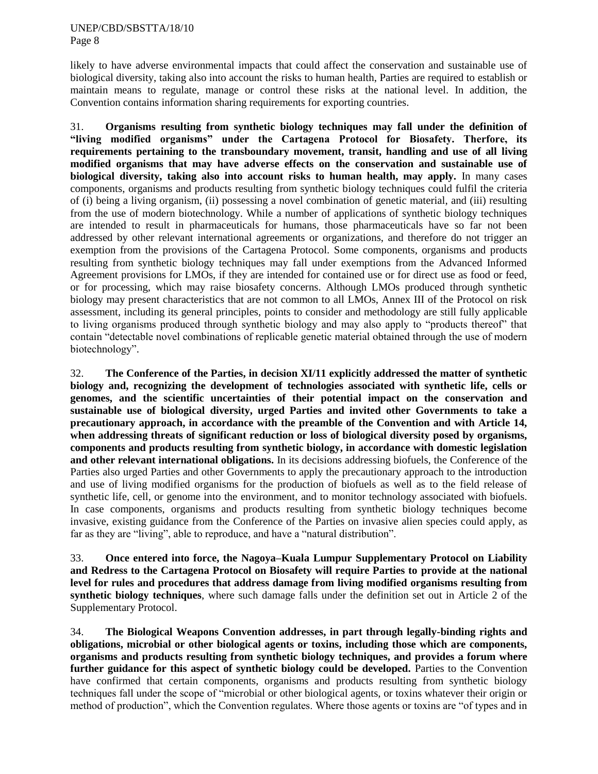likely to have adverse environmental impacts that could affect the conservation and sustainable use of biological diversity, taking also into account the risks to human health, Parties are required to establish or maintain means to regulate, manage or control these risks at the national level. In addition, the Convention contains information sharing requirements for exporting countries.

31. **Organisms resulting from synthetic biology techniques may fall under the definition of "living modified organisms" under the Cartagena Protocol for Biosafety. Therfore, its requirements pertaining to the transboundary movement, transit, handling and use of all living modified organisms that may have adverse effects on the conservation and sustainable use of biological diversity, taking also into account risks to human health, may apply.** In many cases components, organisms and products resulting from synthetic biology techniques could fulfil the criteria of (i) being a living organism, (ii) possessing a novel combination of genetic material, and (iii) resulting from the use of modern biotechnology. While a number of applications of synthetic biology techniques are intended to result in pharmaceuticals for humans, those pharmaceuticals have so far not been addressed by other relevant international agreements or organizations, and therefore do not trigger an exemption from the provisions of the Cartagena Protocol. Some components, organisms and products resulting from synthetic biology techniques may fall under exemptions from the Advanced Informed Agreement provisions for LMOs, if they are intended for contained use or for direct use as food or feed, or for processing, which may raise biosafety concerns. Although LMOs produced through synthetic biology may present characteristics that are not common to all LMOs, Annex III of the Protocol on risk assessment, including its general principles, points to consider and methodology are still fully applicable to living organisms produced through synthetic biology and may also apply to "products thereof" that contain "detectable novel combinations of replicable genetic material obtained through the use of modern biotechnology".

32. **The Conference of the Parties, in decision XI/11 explicitly addressed the matter of synthetic biology and, recognizing the development of technologies associated with synthetic life, cells or genomes, and the scientific uncertainties of their potential impact on the conservation and sustainable use of biological diversity, urged Parties and invited other Governments to take a precautionary approach, in accordance with the preamble of the Convention and with Article 14, when addressing threats of significant reduction or loss of biological diversity posed by organisms, components and products resulting from synthetic biology, in accordance with domestic legislation and other relevant international obligations.** In its decisions addressing biofuels, the Conference of the Parties also urged Parties and other Governments to apply the precautionary approach to the introduction and use of living modified organisms for the production of biofuels as well as to the field release of synthetic life, cell, or genome into the environment, and to monitor technology associated with biofuels. In case components, organisms and products resulting from synthetic biology techniques become invasive, existing guidance from the Conference of the Parties on invasive alien species could apply, as far as they are "living", able to reproduce, and have a "natural distribution".

33. **Once entered into force, the Nagoya–Kuala Lumpur Supplementary Protocol on Liability and Redress to the Cartagena Protocol on Biosafety will require Parties to provide at the national level for rules and procedures that address damage from living modified organisms resulting from synthetic biology techniques**, where such damage falls under the definition set out in Article 2 of the Supplementary Protocol.

34. **The Biological Weapons Convention addresses, in part through legally-binding rights and obligations, microbial or other biological agents or toxins, including those which are components, organisms and products resulting from synthetic biology techniques, and provides a forum where further guidance for this aspect of synthetic biology could be developed.** Parties to the Convention have confirmed that certain components, organisms and products resulting from synthetic biology techniques fall under the scope of "microbial or other biological agents, or toxins whatever their origin or method of production", which the Convention regulates. Where those agents or toxins are "of types and in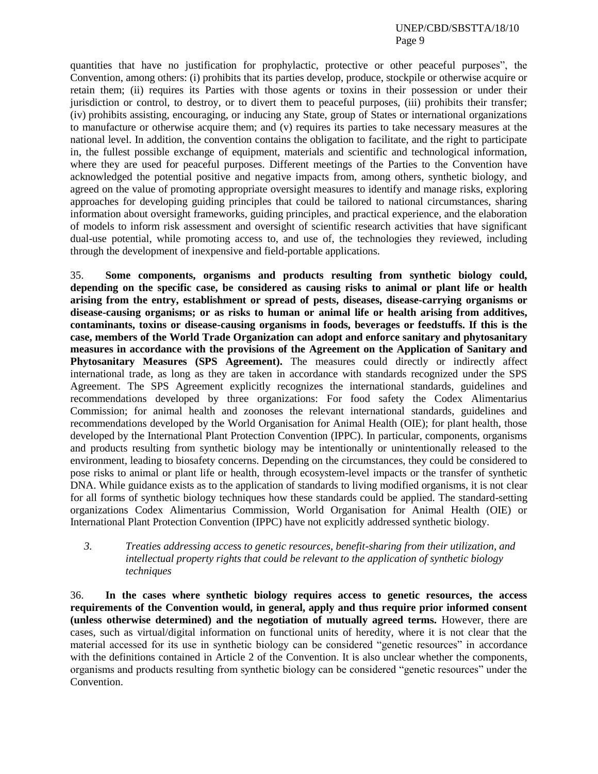quantities that have no justification for prophylactic, protective or other peaceful purposes", the Convention, among others: (i) prohibits that its parties develop, produce, stockpile or otherwise acquire or retain them; (ii) requires its Parties with those agents or toxins in their possession or under their jurisdiction or control, to destroy, or to divert them to peaceful purposes, (iii) prohibits their transfer; (iv) prohibits assisting, encouraging, or inducing any State, group of States or international organizations to manufacture or otherwise acquire them; and (v) requires its parties to take necessary measures at the national level. In addition, the convention contains the obligation to facilitate, and the right to participate in, the fullest possible exchange of equipment, materials and scientific and technological information, where they are used for peaceful purposes. Different meetings of the Parties to the Convention have acknowledged the potential positive and negative impacts from, among others, synthetic biology, and agreed on the value of promoting appropriate oversight measures to identify and manage risks, exploring approaches for developing guiding principles that could be tailored to national circumstances, sharing information about oversight frameworks, guiding principles, and practical experience, and the elaboration of models to inform risk assessment and oversight of scientific research activities that have significant dual-use potential, while promoting access to, and use of, the technologies they reviewed, including through the development of inexpensive and field-portable applications.

35. **Some components, organisms and products resulting from synthetic biology could, depending on the specific case, be considered as causing risks to animal or plant life or health arising from the entry, establishment or spread of pests, diseases, disease-carrying organisms or disease-causing organisms; or as risks to human or animal life or health arising from additives, contaminants, toxins or disease-causing organisms in foods, beverages or feedstuffs. If this is the case, members of the World Trade Organization can adopt and enforce sanitary and phytosanitary measures in accordance with the provisions of the Agreement on the Application of Sanitary and**  Phytosanitary Measures (SPS Agreement). The measures could directly or indirectly affect international trade, as long as they are taken in accordance with standards recognized under the SPS Agreement. The SPS Agreement explicitly recognizes the international standards, guidelines and recommendations developed by three organizations: For food safety the Codex Alimentarius Commission; for animal health and zoonoses the relevant international standards, guidelines and recommendations developed by the World Organisation for Animal Health (OIE); for plant health, those developed by the International Plant Protection Convention (IPPC). In particular, components, organisms and products resulting from synthetic biology may be intentionally or unintentionally released to the environment, leading to biosafety concerns. Depending on the circumstances, they could be considered to pose risks to animal or plant life or health, through ecosystem-level impacts or the transfer of synthetic DNA. While guidance exists as to the application of standards to living modified organisms, it is not clear for all forms of synthetic biology techniques how these standards could be applied. The standard-setting organizations Codex Alimentarius Commission, World Organisation for Animal Health (OIE) or International Plant Protection Convention (IPPC) have not explicitly addressed synthetic biology.

# *3. Treaties addressing access to genetic resources, benefit-sharing from their utilization, and intellectual property rights that could be relevant to the application of synthetic biology techniques*

36. **In the cases where synthetic biology requires access to genetic resources, the access requirements of the Convention would, in general, apply and thus require prior informed consent (unless otherwise determined) and the negotiation of mutually agreed terms.** However, there are cases, such as virtual/digital information on functional units of heredity, where it is not clear that the material accessed for its use in synthetic biology can be considered "genetic resources" in accordance with the definitions contained in Article 2 of the Convention. It is also unclear whether the components, organisms and products resulting from synthetic biology can be considered "genetic resources" under the Convention.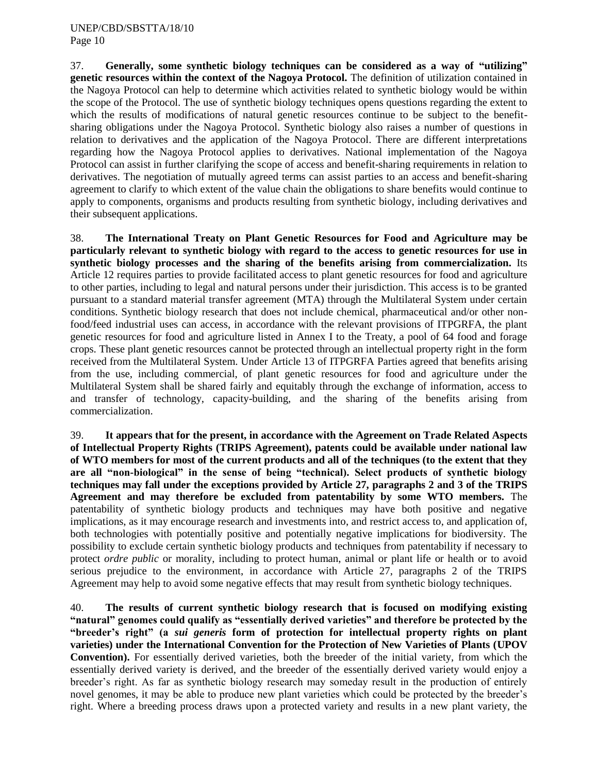37. **Generally, some synthetic biology techniques can be considered as a way of "utilizing" genetic resources within the context of the Nagoya Protocol.** The definition of utilization contained in the Nagoya Protocol can help to determine which activities related to synthetic biology would be within the scope of the Protocol. The use of synthetic biology techniques opens questions regarding the extent to which the results of modifications of natural genetic resources continue to be subject to the benefitsharing obligations under the Nagoya Protocol. Synthetic biology also raises a number of questions in relation to derivatives and the application of the Nagoya Protocol. There are different interpretations regarding how the Nagoya Protocol applies to derivatives. National implementation of the Nagoya Protocol can assist in further clarifying the scope of access and benefit-sharing requirements in relation to derivatives. The negotiation of mutually agreed terms can assist parties to an access and benefit-sharing agreement to clarify to which extent of the value chain the obligations to share benefits would continue to apply to components, organisms and products resulting from synthetic biology, including derivatives and their subsequent applications.

38. **The International Treaty on Plant Genetic Resources for Food and Agriculture may be particularly relevant to synthetic biology with regard to the access to genetic resources for use in synthetic biology processes and the sharing of the benefits arising from commercialization.** Its Article 12 requires parties to provide facilitated access to plant genetic resources for food and agriculture to other parties, including to legal and natural persons under their jurisdiction. This access is to be granted pursuant to a standard material transfer agreement (MTA) through the Multilateral System under certain conditions. Synthetic biology research that does not include chemical, pharmaceutical and/or other nonfood/feed industrial uses can access, in accordance with the relevant provisions of ITPGRFA, the plant genetic resources for food and agriculture listed in Annex I to the Treaty, a pool of 64 food and forage crops. These plant genetic resources cannot be protected through an intellectual property right in the form received from the Multilateral System. Under Article 13 of ITPGRFA Parties agreed that benefits arising from the use, including commercial, of plant genetic resources for food and agriculture under the Multilateral System shall be shared fairly and equitably through the exchange of information, access to and transfer of technology, capacity-building, and the sharing of the benefits arising from commercialization.

39. **It appears that for the present, in accordance with the Agreement on Trade Related Aspects of Intellectual Property Rights (TRIPS Agreement), patents could be available under national law of WTO members for most of the current products and all of the techniques (to the extent that they are all "non-biological" in the sense of being "technical). Select products of synthetic biology techniques may fall under the exceptions provided by Article 27, paragraphs 2 and 3 of the TRIPS Agreement and may therefore be excluded from patentability by some WTO members.** The patentability of synthetic biology products and techniques may have both positive and negative implications, as it may encourage research and investments into, and restrict access to, and application of, both technologies with potentially positive and potentially negative implications for biodiversity. The possibility to exclude certain synthetic biology products and techniques from patentability if necessary to protect *ordre public* or morality, including to protect human, animal or plant life or health or to avoid serious prejudice to the environment, in accordance with Article 27, paragraphs 2 of the TRIPS Agreement may help to avoid some negative effects that may result from synthetic biology techniques.

40. **The results of current synthetic biology research that is focused on modifying existing "natural" genomes could qualify as "essentially derived varieties" and therefore be protected by the "breeder's right" (a** *sui generis* **form of protection for intellectual property rights on plant varieties) under the International Convention for the Protection of New Varieties of Plants (UPOV Convention).** For essentially derived varieties, both the breeder of the initial variety, from which the essentially derived variety is derived, and the breeder of the essentially derived variety would enjoy a breeder's right. As far as synthetic biology research may someday result in the production of entirely novel genomes, it may be able to produce new plant varieties which could be protected by the breeder's right. Where a breeding process draws upon a protected variety and results in a new plant variety, the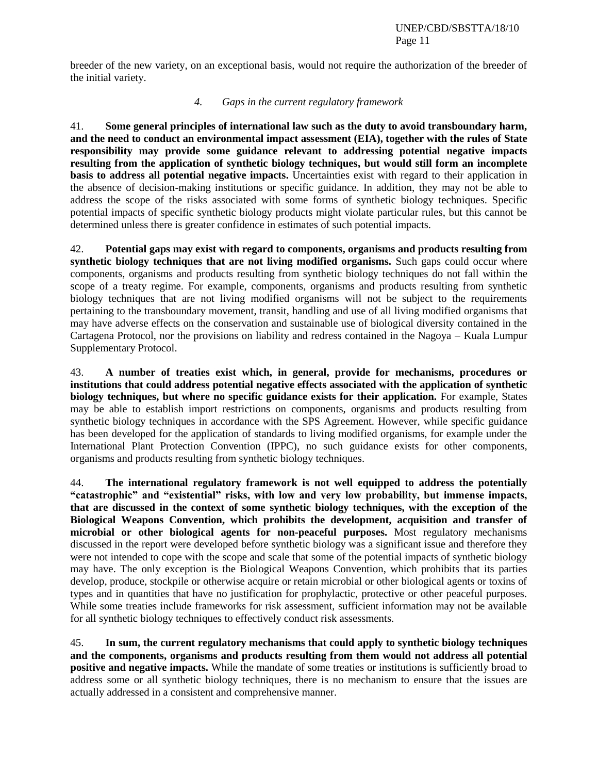breeder of the new variety, on an exceptional basis, would not require the authorization of the breeder of the initial variety.

#### *4. Gaps in the current regulatory framework*

41. **Some general principles of international law such as the duty to avoid transboundary harm, and the need to conduct an environmental impact assessment (EIA), together with the rules of State responsibility may provide some guidance relevant to addressing potential negative impacts resulting from the application of synthetic biology techniques, but would still form an incomplete basis to address all potential negative impacts.** Uncertainties exist with regard to their application in the absence of decision-making institutions or specific guidance. In addition, they may not be able to address the scope of the risks associated with some forms of synthetic biology techniques. Specific potential impacts of specific synthetic biology products might violate particular rules, but this cannot be determined unless there is greater confidence in estimates of such potential impacts.

42. **Potential gaps may exist with regard to components, organisms and products resulting from synthetic biology techniques that are not living modified organisms.** Such gaps could occur where components, organisms and products resulting from synthetic biology techniques do not fall within the scope of a treaty regime. For example, components, organisms and products resulting from synthetic biology techniques that are not living modified organisms will not be subject to the requirements pertaining to the transboundary movement, transit, handling and use of all living modified organisms that may have adverse effects on the conservation and sustainable use of biological diversity contained in the Cartagena Protocol, nor the provisions on liability and redress contained in the Nagoya – Kuala Lumpur Supplementary Protocol.

43. **A number of treaties exist which, in general, provide for mechanisms, procedures or institutions that could address potential negative effects associated with the application of synthetic biology techniques, but where no specific guidance exists for their application.** For example, States may be able to establish import restrictions on components, organisms and products resulting from synthetic biology techniques in accordance with the SPS Agreement. However, while specific guidance has been developed for the application of standards to living modified organisms, for example under the International Plant Protection Convention (IPPC), no such guidance exists for other components, organisms and products resulting from synthetic biology techniques.

44. **The international regulatory framework is not well equipped to address the potentially "catastrophic" and "existential" risks, with low and very low probability, but immense impacts, that are discussed in the context of some synthetic biology techniques, with the exception of the Biological Weapons Convention, which prohibits the development, acquisition and transfer of microbial or other biological agents for non-peaceful purposes.** Most regulatory mechanisms discussed in the report were developed before synthetic biology was a significant issue and therefore they were not intended to cope with the scope and scale that some of the potential impacts of synthetic biology may have. The only exception is the Biological Weapons Convention, which prohibits that its parties develop, produce, stockpile or otherwise acquire or retain microbial or other biological agents or toxins of types and in quantities that have no justification for prophylactic, protective or other peaceful purposes. While some treaties include frameworks for risk assessment, sufficient information may not be available for all synthetic biology techniques to effectively conduct risk assessments.

45. **In sum, the current regulatory mechanisms that could apply to synthetic biology techniques and the components, organisms and products resulting from them would not address all potential positive and negative impacts.** While the mandate of some treaties or institutions is sufficiently broad to address some or all synthetic biology techniques, there is no mechanism to ensure that the issues are actually addressed in a consistent and comprehensive manner.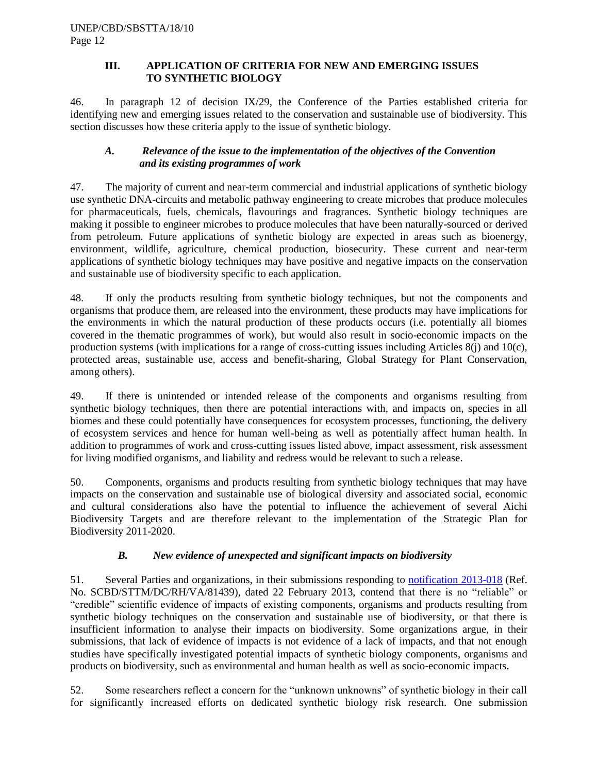## **III. APPLICATION OF CRITERIA FOR NEW AND EMERGING ISSUES TO SYNTHETIC BIOLOGY**

46. In paragraph 12 of decision IX/29, the Conference of the Parties established criteria for identifying new and emerging issues related to the conservation and sustainable use of biodiversity. This section discusses how these criteria apply to the issue of synthetic biology.

# *A. Relevance of the issue to the implementation of the objectives of the Convention and its existing programmes of work*

47. The majority of current and near-term commercial and industrial applications of synthetic biology use synthetic DNA-circuits and metabolic pathway engineering to create microbes that produce molecules for pharmaceuticals, fuels, chemicals, flavourings and fragrances. Synthetic biology techniques are making it possible to engineer microbes to produce molecules that have been naturally-sourced or derived from petroleum. Future applications of synthetic biology are expected in areas such as bioenergy, environment, wildlife, agriculture, chemical production, biosecurity. These current and near-term applications of synthetic biology techniques may have positive and negative impacts on the conservation and sustainable use of biodiversity specific to each application.

48. If only the products resulting from synthetic biology techniques, but not the components and organisms that produce them, are released into the environment, these products may have implications for the environments in which the natural production of these products occurs (i.e. potentially all biomes covered in the thematic programmes of work), but would also result in socio-economic impacts on the production systems (with implications for a range of cross-cutting issues including Articles 8(j) and 10(c), protected areas, sustainable use, access and benefit-sharing, Global Strategy for Plant Conservation, among others).

49. If there is unintended or intended release of the components and organisms resulting from synthetic biology techniques, then there are potential interactions with, and impacts on, species in all biomes and these could potentially have consequences for ecosystem processes, functioning, the delivery of ecosystem services and hence for human well-being as well as potentially affect human health. In addition to programmes of work and cross-cutting issues listed above, impact assessment, risk assessment for living modified organisms, and liability and redress would be relevant to such a release.

50. Components, organisms and products resulting from synthetic biology techniques that may have impacts on the conservation and sustainable use of biological diversity and associated social, economic and cultural considerations also have the potential to influence the achievement of several Aichi Biodiversity Targets and are therefore relevant to the implementation of the Strategic Plan for Biodiversity 2011-2020.

# *B. New evidence of unexpected and significant impacts on biodiversity*

51. Several Parties and organizations, in their submissions responding to [notification 2013-018](http://www.cbd.int/doc/notifications/2013/ntf-2013-018-emerging-issues-en.pdf) (Ref. No. SCBD/STTM/DC/RH/VA/81439), dated 22 February 2013, contend that there is no "reliable" or "credible" scientific evidence of impacts of existing components, organisms and products resulting from synthetic biology techniques on the conservation and sustainable use of biodiversity, or that there is insufficient information to analyse their impacts on biodiversity. Some organizations argue, in their submissions, that lack of evidence of impacts is not evidence of a lack of impacts, and that not enough studies have specifically investigated potential impacts of synthetic biology components, organisms and products on biodiversity, such as environmental and human health as well as socio-economic impacts.

52. Some researchers reflect a concern for the "unknown unknowns" of synthetic biology in their call for significantly increased efforts on dedicated synthetic biology risk research. One submission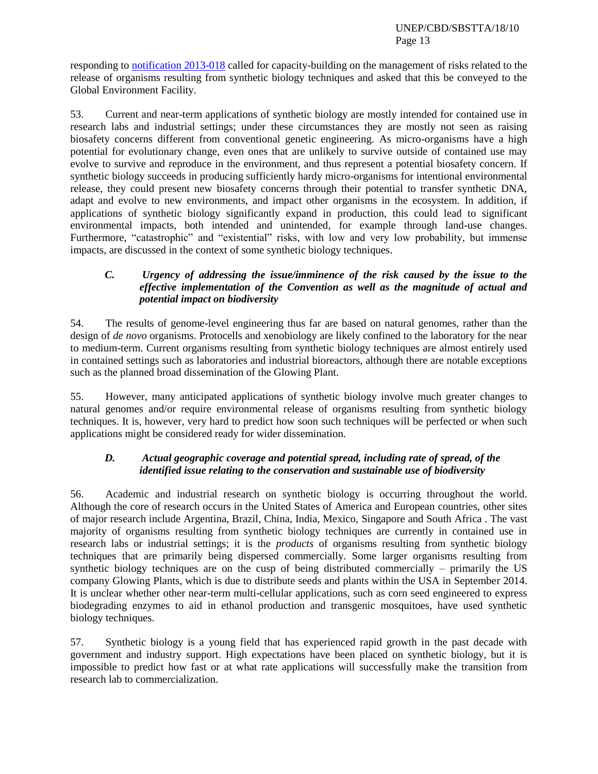responding to [notification 2013-018](http://www.cbd.int/doc/notifications/2013/ntf-2013-018-emerging-issues-en.pdf) called for capacity-building on the management of risks related to the release of organisms resulting from synthetic biology techniques and asked that this be conveyed to the Global Environment Facility.

53. Current and near-term applications of synthetic biology are mostly intended for contained use in research labs and industrial settings; under these circumstances they are mostly not seen as raising biosafety concerns different from conventional genetic engineering. As micro-organisms have a high potential for evolutionary change, even ones that are unlikely to survive outside of contained use may evolve to survive and reproduce in the environment, and thus represent a potential biosafety concern. If synthetic biology succeeds in producing sufficiently hardy micro-organisms for intentional environmental release, they could present new biosafety concerns through their potential to transfer synthetic DNA, adapt and evolve to new environments, and impact other organisms in the ecosystem. In addition, if applications of synthetic biology significantly expand in production, this could lead to significant environmental impacts, both intended and unintended, for example through land-use changes. Furthermore, "catastrophic" and "existential" risks, with low and very low probability, but immense impacts, are discussed in the context of some synthetic biology techniques.

## *C. Urgency of addressing the issue/imminence of the risk caused by the issue to the effective implementation of the Convention as well as the magnitude of actual and potential impact on biodiversity*

54. The results of genome-level engineering thus far are based on natural genomes, rather than the design of *de novo* organisms. Protocells and xenobiology are likely confined to the laboratory for the near to medium-term. Current organisms resulting from synthetic biology techniques are almost entirely used in contained settings such as laboratories and industrial bioreactors, although there are notable exceptions such as the planned broad dissemination of the Glowing Plant.

55. However, many anticipated applications of synthetic biology involve much greater changes to natural genomes and/or require environmental release of organisms resulting from synthetic biology techniques. It is, however, very hard to predict how soon such techniques will be perfected or when such applications might be considered ready for wider dissemination.

# *D. Actual geographic coverage and potential spread, including rate of spread, of the identified issue relating to the conservation and sustainable use of biodiversity*

56. Academic and industrial research on synthetic biology is occurring throughout the world. Although the core of research occurs in the United States of America and European countries, other sites of major research include Argentina, Brazil, China, India, Mexico, Singapore and South Africa . The vast majority of organisms resulting from synthetic biology techniques are currently in contained use in research labs or industrial settings; it is the *products* of organisms resulting from synthetic biology techniques that are primarily being dispersed commercially. Some larger organisms resulting from synthetic biology techniques are on the cusp of being distributed commercially – primarily the US company Glowing Plants, which is due to distribute seeds and plants within the USA in September 2014. It is unclear whether other near-term multi-cellular applications, such as corn seed engineered to express biodegrading enzymes to aid in ethanol production and transgenic mosquitoes, have used synthetic biology techniques.

57. Synthetic biology is a young field that has experienced rapid growth in the past decade with government and industry support. High expectations have been placed on synthetic biology, but it is impossible to predict how fast or at what rate applications will successfully make the transition from research lab to commercialization.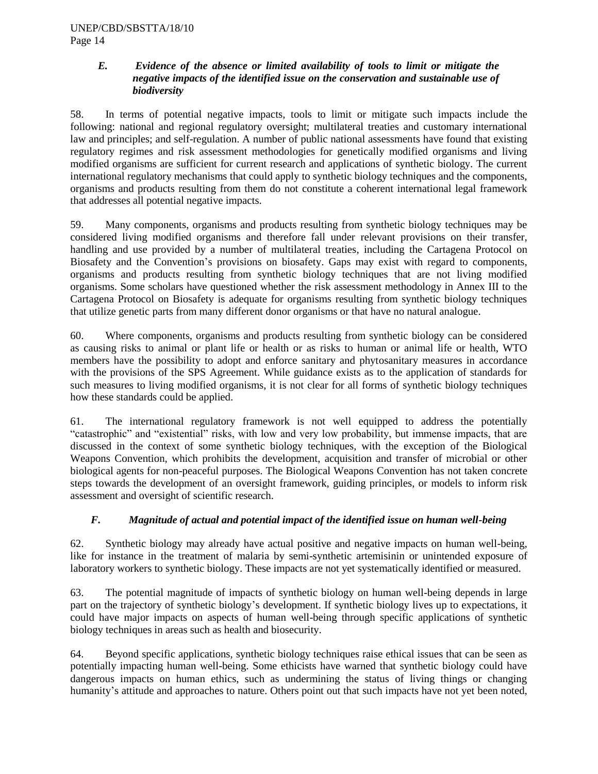## *E. Evidence of the absence or limited availability of tools to limit or mitigate the negative impacts of the identified issue on the conservation and sustainable use of biodiversity*

58. In terms of potential negative impacts, tools to limit or mitigate such impacts include the following: national and regional regulatory oversight; multilateral treaties and customary international law and principles; and self-regulation. A number of public national assessments have found that existing regulatory regimes and risk assessment methodologies for genetically modified organisms and living modified organisms are sufficient for current research and applications of synthetic biology. The current international regulatory mechanisms that could apply to synthetic biology techniques and the components, organisms and products resulting from them do not constitute a coherent international legal framework that addresses all potential negative impacts.

59. Many components, organisms and products resulting from synthetic biology techniques may be considered living modified organisms and therefore fall under relevant provisions on their transfer, handling and use provided by a number of multilateral treaties, including the Cartagena Protocol on Biosafety and the Convention's provisions on biosafety. Gaps may exist with regard to components, organisms and products resulting from synthetic biology techniques that are not living modified organisms. Some scholars have questioned whether the risk assessment methodology in Annex III to the Cartagena Protocol on Biosafety is adequate for organisms resulting from synthetic biology techniques that utilize genetic parts from many different donor organisms or that have no natural analogue.

60. Where components, organisms and products resulting from synthetic biology can be considered as causing risks to animal or plant life or health or as risks to human or animal life or health, WTO members have the possibility to adopt and enforce sanitary and phytosanitary measures in accordance with the provisions of the SPS Agreement. While guidance exists as to the application of standards for such measures to living modified organisms, it is not clear for all forms of synthetic biology techniques how these standards could be applied.

61. The international regulatory framework is not well equipped to address the potentially "catastrophic" and "existential" risks, with low and very low probability, but immense impacts, that are discussed in the context of some synthetic biology techniques, with the exception of the Biological Weapons Convention, which prohibits the development, acquisition and transfer of microbial or other biological agents for non-peaceful purposes. The Biological Weapons Convention has not taken concrete steps towards the development of an oversight framework, guiding principles, or models to inform risk assessment and oversight of scientific research.

# *F. Magnitude of actual and potential impact of the identified issue on human well-being*

62. Synthetic biology may already have actual positive and negative impacts on human well-being, like for instance in the treatment of malaria by semi-synthetic artemisinin or unintended exposure of laboratory workers to synthetic biology. These impacts are not yet systematically identified or measured.

63. The potential magnitude of impacts of synthetic biology on human well-being depends in large part on the trajectory of synthetic biology's development. If synthetic biology lives up to expectations, it could have major impacts on aspects of human well-being through specific applications of synthetic biology techniques in areas such as health and biosecurity.

64. Beyond specific applications, synthetic biology techniques raise ethical issues that can be seen as potentially impacting human well-being. Some ethicists have warned that synthetic biology could have dangerous impacts on human ethics, such as undermining the status of living things or changing humanity's attitude and approaches to nature. Others point out that such impacts have not yet been noted,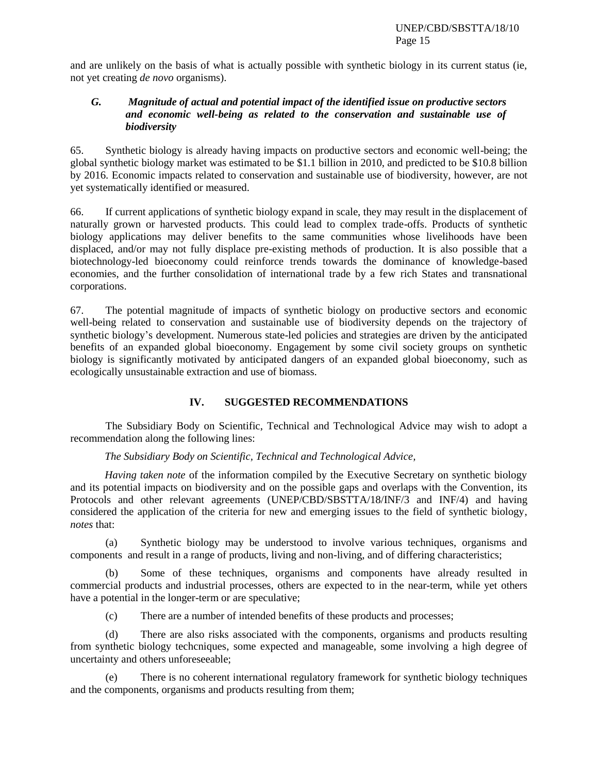and are unlikely on the basis of what is actually possible with synthetic biology in its current status (ie, not yet creating *de novo* organisms).

## *G. Magnitude of actual and potential impact of the identified issue on productive sectors and economic well-being as related to the conservation and sustainable use of biodiversity*

65. Synthetic biology is already having impacts on productive sectors and economic well-being; the global synthetic biology market was estimated to be \$1.1 billion in 2010, and predicted to be \$10.8 billion by 2016. Economic impacts related to conservation and sustainable use of biodiversity, however, are not yet systematically identified or measured.

66. If current applications of synthetic biology expand in scale, they may result in the displacement of naturally grown or harvested products. This could lead to complex trade-offs. Products of synthetic biology applications may deliver benefits to the same communities whose livelihoods have been displaced, and/or may not fully displace pre-existing methods of production. It is also possible that a biotechnology-led bioeconomy could reinforce trends towards the dominance of knowledge-based economies, and the further consolidation of international trade by a few rich States and transnational corporations.

67. The potential magnitude of impacts of synthetic biology on productive sectors and economic well-being related to conservation and sustainable use of biodiversity depends on the trajectory of synthetic biology's development. Numerous state-led policies and strategies are driven by the anticipated benefits of an expanded global bioeconomy. Engagement by some civil society groups on synthetic biology is significantly motivated by anticipated dangers of an expanded global bioeconomy, such as ecologically unsustainable extraction and use of biomass.

# **IV. SUGGESTED RECOMMENDATIONS**

The Subsidiary Body on Scientific, Technical and Technological Advice may wish to adopt a recommendation along the following lines:

#### *The Subsidiary Body on Scientific, Technical and Technological Advice,*

*Having taken note* of the information compiled by the Executive Secretary on synthetic biology and its potential impacts on biodiversity and on the possible gaps and overlaps with the Convention, its Protocols and other relevant agreements (UNEP/CBD/SBSTTA/18/INF/3 and INF/4) and having considered the application of the criteria for new and emerging issues to the field of synthetic biology, *notes* that:

(a) Synthetic biology may be understood to involve various techniques, organisms and components and result in a range of products, living and non-living, and of differing characteristics;

(b) Some of these techniques, organisms and components have already resulted in commercial products and industrial processes, others are expected to in the near-term, while yet others have a potential in the longer-term or are speculative;

(c) There are a number of intended benefits of these products and processes;

(d) There are also risks associated with the components, organisms and products resulting from synthetic biology techcniques, some expected and manageable, some involving a high degree of uncertainty and others unforeseeable;

(e) There is no coherent international regulatory framework for synthetic biology techniques and the components, organisms and products resulting from them;